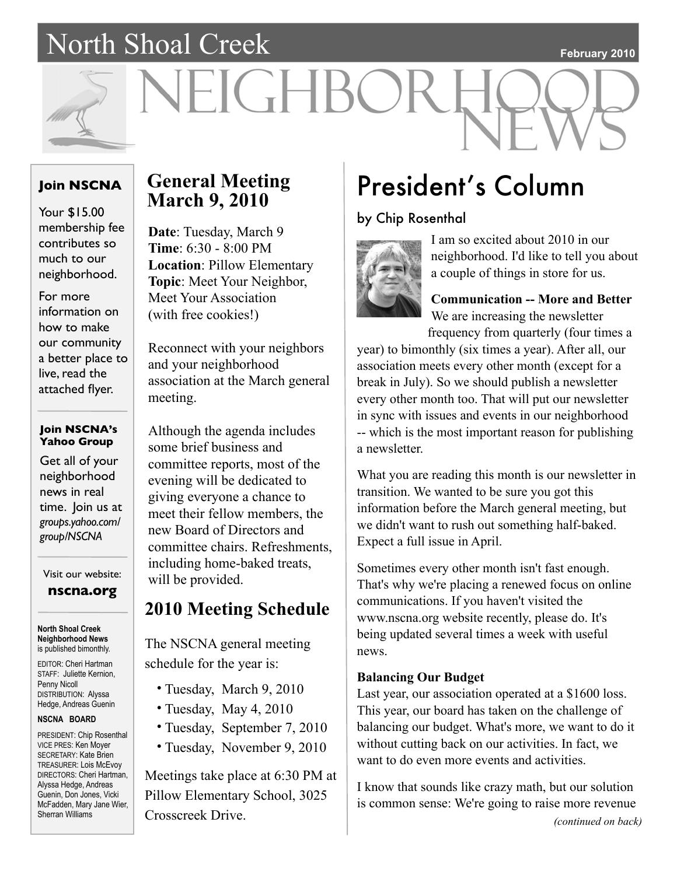### North Shoal Creek

#### **February 2010**



# VEIGHBOR

### **Join NSCNA**

Your \$15.00 membership fee contributes so much to our neighborhood.

For more information on how to make our community a better place to live, read the attached flyer.

### **Join NSCNA's Yahoo Group**

Get all of your neighborhood news in real time. Join us at *groups.yahoo.com/ group/NSCNA*

Visit our website:

**nscna.org**

**North Shoal Creek Neighborhood News** is published bimonthly.

EDITOR: Cheri Hartman STAFF: Juliette Kernion, Penny Nicoll DISTRIBUTION: Alyssa Hedge, Andreas Guenin

#### **NSCNA BOARD**

PRESIDENT: Chip Rosenthal VICE PRES: Ken Moyer SECRETARY: Kate Brien TREASURER: Lois McEvoy DIRECTORS: Cheri Hartman, Alyssa Hedge, Andreas Guenin, Don Jones, Vicki McFadden, Mary Jane Wier, Sherran Williams

### **General Meeting March 9, 2010**

**Date**: Tuesday, March 9 **Time**: 6:30 - 8:00 PM **Location**: Pillow Elementary **Topic**: Meet Your Neighbor, Meet Your Association (with free cookies!)

Reconnect with your neighbors and your neighborhood association at the March general meeting.

Although the agenda includes some brief business and committee reports, most of the evening will be dedicated to giving everyone a chance to meet their fellow members, the new Board of Directors and committee chairs. Refreshments, including home-baked treats, will be provided.

### **2010 Meeting Schedule**

The NSCNA general meeting schedule for the year is:

- Tuesday, March 9, 2010
- Tuesday, May 4, 2010
- Tuesday, September 7, 2010
- Tuesday, November 9, 2010

Meetings take place at 6:30 PM at Pillow Elementary School, 3025 Crosscreek Drive. *(continued on back)*

### President's Column

### by Chip Rosenthal



I am so excited about 2010 in our neighborhood. I'd like to tell you about a couple of things in store for us.

### **Communication -- More and Better** We are increasing the newsletter

frequency from quarterly (four times a

year) to bimonthly (six times a year). After all, our association meets every other month (except for a break in July). So we should publish a newsletter every other month too. That will put our newsletter in sync with issues and events in our neighborhood -- which is the most important reason for publishing a newsletter.

What you are reading this month is our newsletter in transition. We wanted to be sure you got this information before the March general meeting, but we didn't want to rush out something half-baked. Expect a full issue in April.

Sometimes every other month isn't fast enough. That's why we're placing a renewed focus on online communications. If you haven't visited the www.nscna.org website recently, please do. It's being updated several times a week with useful news.

### **Balancing Our Budget**

Last year, our association operated at a \$1600 loss. This year, our board has taken on the challenge of balancing our budget. What's more, we want to do it without cutting back on our activities. In fact, we want to do even more events and activities.

I know that sounds like crazy math, but our solution is common sense: We're going to raise more revenue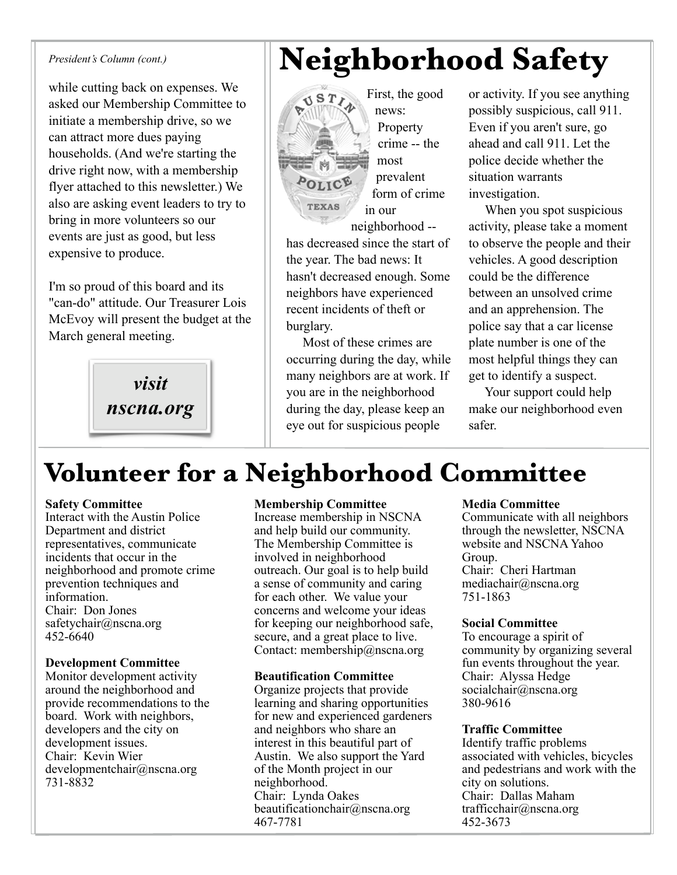#### *President's Column (cont.)*

while cutting back on expenses. We asked our Membership Committee to initiate a membership drive, so we can attract more dues paying households. (And we're starting the drive right now, with a membership flyer attached to this newsletter.) We also are asking event leaders to try to bring in more volunteers so our events are just as good, but less expensive to produce.

I'm so proud of this board and its "can-do" attitude. Our Treasurer Lois McEvoy will present the budget at the March general meeting.

> *visit nscna.org*

### **Neighborhood Safety**

First, the good  $ST<sub>f</sub>$ OLICE **TEXAS** in our neighborhood --

has decreased since the start of the year. The bad news: It hasn't decreased enough. Some neighbors have experienced recent incidents of theft or burglary.

news: Property crime -- the

most prevalent form of crime

 Most of these crimes are occurring during the day, while many neighbors are at work. If you are in the neighborhood during the day, please keep an eye out for suspicious people

or activity. If you see anything possibly suspicious, call 911. Even if you aren't sure, go ahead and call 911. Let the police decide whether the situation warrants investigation.

 When you spot suspicious activity, please take a moment to observe the people and their vehicles. A good description could be the difference between an unsolved crime and an apprehension. The police say that a car license plate number is one of the most helpful things they can get to identify a suspect.

 Your support could help make our neighborhood even safer.

### **Volunteer for a Neighborhood Committee**

### **Safety Committee**

Interact with the Austin Police Department and district representatives, communicate incidents that occur in the neighborhood and promote crime prevention techniques and information. Chair: Don Jones safetychair@nscna.org 452-6640

### **Development Committee**

Monitor development activity around the neighborhood and provide recommendations to the board. Work with neighbors, developers and the city on development issues. Chair: Kevin Wier developmentchair@nscna.org 731-8832

### **Membership Committee**

Increase membership in NSCNA and help build our community. The Membership Committee is involved in neighborhood outreach. Our goal is to help build a sense of community and caring for each other. We value your concerns and welcome your ideas for keeping our neighborhood safe, secure, and a great place to live. Contact: membership@nscna.org

### **Beautification Committee**

Organize projects that provide learning and sharing opportunities for new and experienced gardeners and neighbors who share an interest in this beautiful part of Austin. We also support the Yard of the Month project in our neighborhood. Chair: Lynda Oakes beautificationchair@nscna.org 467-7781

### **Media Committee**

Communicate with all neighbors through the newsletter, NSCNA website and NSCNA Yahoo Group. Chair: Cheri Hartman mediachair@nscna.org 751-1863

### **Social Committee**

To encourage a spirit of community by organizing several fun events throughout the year. Chair: Alyssa Hedge socialchair@nscna.org 380-9616

### **Traffic Committee**

Identify traffic problems associated with vehicles, bicycles and pedestrians and work with the city on solutions. Chair: Dallas Maham trafficchair@nscna.org 452-3673